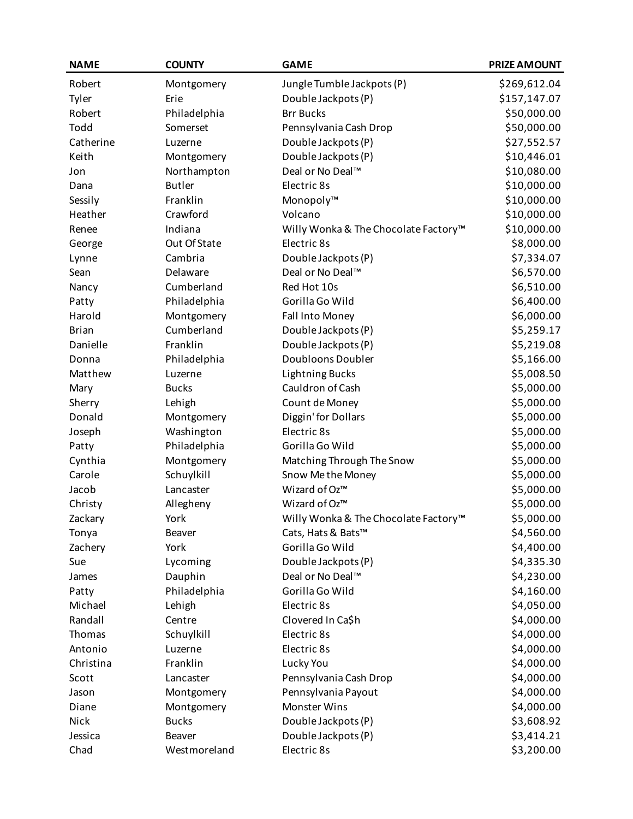| <b>NAME</b>  | <b>COUNTY</b> | <b>GAME</b>                          | <b>PRIZE AMOUNT</b> |
|--------------|---------------|--------------------------------------|---------------------|
| Robert       | Montgomery    | Jungle Tumble Jackpots (P)           | \$269,612.04        |
| Tyler        | Erie          | Double Jackpots (P)                  | \$157,147.07        |
| Robert       | Philadelphia  | <b>Brr Bucks</b>                     | \$50,000.00         |
| Todd         | Somerset      | Pennsylvania Cash Drop               | \$50,000.00         |
| Catherine    | Luzerne       | Double Jackpots (P)                  | \$27,552.57         |
| Keith        | Montgomery    | Double Jackpots (P)                  | \$10,446.01         |
| Jon          | Northampton   | Deal or No Deal™                     | \$10,080.00         |
| Dana         | <b>Butler</b> | Electric 8s                          | \$10,000.00         |
| Sessily      | Franklin      | Monopoly™                            | \$10,000.00         |
| Heather      | Crawford      | Volcano                              | \$10,000.00         |
| Renee        | Indiana       | Willy Wonka & The Chocolate Factory™ | \$10,000.00         |
| George       | Out Of State  | Electric 8s                          | \$8,000.00          |
| Lynne        | Cambria       | Double Jackpots (P)                  | \$7,334.07          |
| Sean         | Delaware      | Deal or No Deal™                     | \$6,570.00          |
| Nancy        | Cumberland    | Red Hot 10s                          | \$6,510.00          |
| Patty        | Philadelphia  | Gorilla Go Wild                      | \$6,400.00          |
| Harold       | Montgomery    | Fall Into Money                      | \$6,000.00          |
| <b>Brian</b> | Cumberland    | Double Jackpots (P)                  | \$5,259.17          |
| Danielle     | Franklin      | Double Jackpots (P)                  | \$5,219.08          |
| Donna        | Philadelphia  | Doubloons Doubler                    | \$5,166.00          |
| Matthew      | Luzerne       | <b>Lightning Bucks</b>               | \$5,008.50          |
| Mary         | <b>Bucks</b>  | Cauldron of Cash                     | \$5,000.00          |
| Sherry       | Lehigh        | Count de Money                       | \$5,000.00          |
| Donald       | Montgomery    | Diggin' for Dollars                  | \$5,000.00          |
| Joseph       | Washington    | Electric 8s                          | \$5,000.00          |
| Patty        | Philadelphia  | Gorilla Go Wild                      | \$5,000.00          |
| Cynthia      | Montgomery    | Matching Through The Snow            | \$5,000.00          |
| Carole       | Schuylkill    | Snow Me the Money                    | \$5,000.00          |
| Jacob        | Lancaster     | Wizard of Oz™                        | \$5,000.00          |
| Christy      | Allegheny     | Wizard of Oz™                        | \$5,000.00          |
| Zackary      | York          | Willy Wonka & The Chocolate Factory™ | \$5,000.00          |
| Tonya        | Beaver        | Cats, Hats & Bats™                   | \$4,560.00          |
| Zachery      | York          | Gorilla Go Wild                      | \$4,400.00          |
| Sue          | Lycoming      | Double Jackpots (P)                  | \$4,335.30          |
| James        | Dauphin       | Deal or No Deal™                     | \$4,230.00          |
| Patty        | Philadelphia  | Gorilla Go Wild                      | \$4,160.00          |
| Michael      | Lehigh        | Electric 8s                          | \$4,050.00          |
| Randall      | Centre        | Clovered In Ca\$h                    | \$4,000.00          |
| Thomas       | Schuylkill    | Electric 8s                          | \$4,000.00          |
| Antonio      | Luzerne       | Electric 8s                          | \$4,000.00          |
| Christina    | Franklin      | Lucky You                            | \$4,000.00          |
| Scott        | Lancaster     | Pennsylvania Cash Drop               | \$4,000.00          |
| Jason        | Montgomery    | Pennsylvania Payout                  | \$4,000.00          |
| Diane        | Montgomery    | Monster Wins                         | \$4,000.00          |
| Nick         | <b>Bucks</b>  | Double Jackpots (P)                  | \$3,608.92          |
| Jessica      | Beaver        | Double Jackpots (P)                  | \$3,414.21          |
| Chad         | Westmoreland  | Electric 8s                          | \$3,200.00          |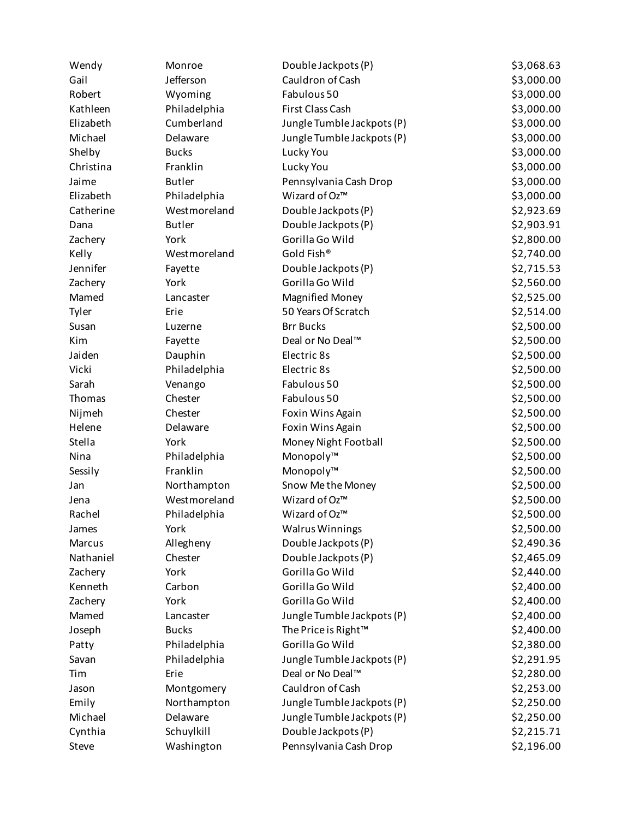| Wendy     | Monroe        | Double Jackpots (P)             | \$3,068.63 |
|-----------|---------------|---------------------------------|------------|
| Gail      | Jefferson     | Cauldron of Cash                | \$3,000.00 |
| Robert    | Wyoming       | Fabulous 50                     | \$3,000.00 |
| Kathleen  | Philadelphia  | First Class Cash                | \$3,000.00 |
| Elizabeth | Cumberland    | Jungle Tumble Jackpots (P)      | \$3,000.00 |
| Michael   | Delaware      | Jungle Tumble Jackpots (P)      | \$3,000.00 |
| Shelby    | <b>Bucks</b>  | Lucky You                       | \$3,000.00 |
| Christina | Franklin      | Lucky You                       | \$3,000.00 |
| Jaime     | <b>Butler</b> | Pennsylvania Cash Drop          | \$3,000.00 |
| Elizabeth | Philadelphia  | Wizard of Oz™                   | \$3,000.00 |
| Catherine | Westmoreland  | Double Jackpots (P)             | \$2,923.69 |
| Dana      | <b>Butler</b> | Double Jackpots (P)             | \$2,903.91 |
| Zachery   | York          | Gorilla Go Wild                 | \$2,800.00 |
| Kelly     | Westmoreland  | Gold Fish®                      | \$2,740.00 |
| Jennifer  | Fayette       | Double Jackpots (P)             | \$2,715.53 |
| Zachery   | York          | Gorilla Go Wild                 | \$2,560.00 |
| Mamed     | Lancaster     | <b>Magnified Money</b>          | \$2,525.00 |
| Tyler     | Erie          | 50 Years Of Scratch             | \$2,514.00 |
| Susan     | Luzerne       | <b>Brr Bucks</b>                | \$2,500.00 |
| Kim       | Fayette       | Deal or No Deal™                | \$2,500.00 |
| Jaiden    | Dauphin       | Electric 8s                     | \$2,500.00 |
| Vicki     | Philadelphia  | Electric 8s                     | \$2,500.00 |
| Sarah     | Venango       | Fabulous 50                     | \$2,500.00 |
| Thomas    | Chester       | Fabulous 50                     | \$2,500.00 |
| Nijmeh    | Chester       | Foxin Wins Again                | \$2,500.00 |
| Helene    | Delaware      | Foxin Wins Again                | \$2,500.00 |
| Stella    | York          | Money Night Football            | \$2,500.00 |
| Nina      | Philadelphia  | Monopoly™                       | \$2,500.00 |
| Sessily   | Franklin      | Monopoly™                       | \$2,500.00 |
| Jan       | Northampton   | Snow Me the Money               | \$2,500.00 |
| Jena      | Westmoreland  | Wizard of Oz™                   | \$2,500.00 |
| Rachel    | Philadelphia  | Wizard of Oz™                   | \$2,500.00 |
| James     | York          | <b>Walrus Winnings</b>          | \$2,500.00 |
| Marcus    | Allegheny     | Double Jackpots (P)             | \$2,490.36 |
| Nathaniel | Chester       | Double Jackpots (P)             | \$2,465.09 |
| Zachery   | York          | Gorilla Go Wild                 | \$2,440.00 |
| Kenneth   | Carbon        | Gorilla Go Wild                 | \$2,400.00 |
| Zachery   | York          | Gorilla Go Wild                 | \$2,400.00 |
| Mamed     | Lancaster     | Jungle Tumble Jackpots (P)      | \$2,400.00 |
| Joseph    | <b>Bucks</b>  | The Price is Right <sup>™</sup> | \$2,400.00 |
| Patty     | Philadelphia  | Gorilla Go Wild                 | \$2,380.00 |
| Savan     | Philadelphia  | Jungle Tumble Jackpots (P)      | \$2,291.95 |
| Tim       | Erie          | Deal or No Deal™                | \$2,280.00 |
| Jason     | Montgomery    | Cauldron of Cash                | \$2,253.00 |
| Emily     | Northampton   | Jungle Tumble Jackpots (P)      | \$2,250.00 |
| Michael   | Delaware      | Jungle Tumble Jackpots (P)      | \$2,250.00 |
| Cynthia   | Schuylkill    | Double Jackpots (P)             | \$2,215.71 |
| Steve     | Washington    | Pennsylvania Cash Drop          | \$2,196.00 |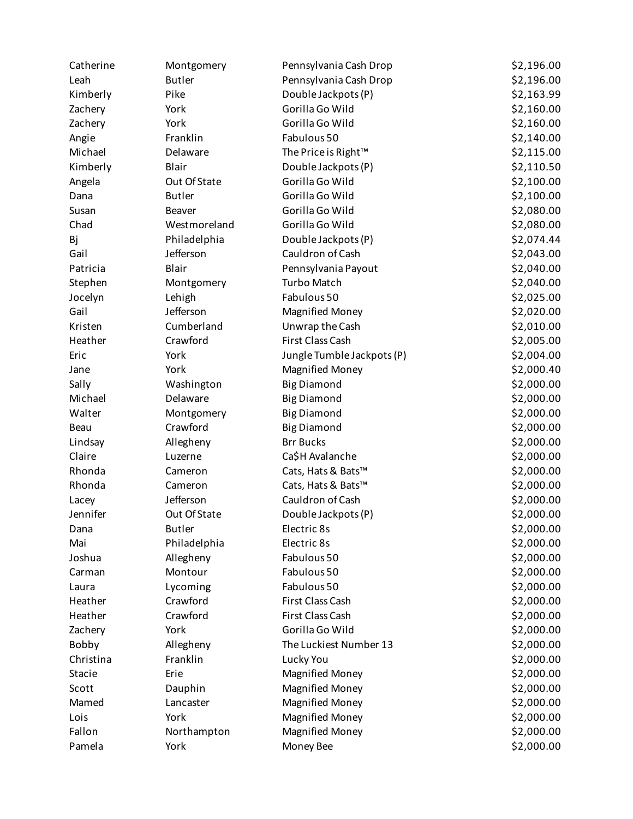| Catherine | Montgomery    | Pennsylvania Cash Drop     | \$2,196.00 |
|-----------|---------------|----------------------------|------------|
| Leah      | <b>Butler</b> | Pennsylvania Cash Drop     | \$2,196.00 |
| Kimberly  | Pike          | Double Jackpots (P)        | \$2,163.99 |
| Zachery   | York          | Gorilla Go Wild            | \$2,160.00 |
| Zachery   | York          | Gorilla Go Wild            | \$2,160.00 |
| Angie     | Franklin      | Fabulous 50                | \$2,140.00 |
| Michael   | Delaware      | The Price is Right™        | \$2,115.00 |
| Kimberly  | Blair         | Double Jackpots (P)        | \$2,110.50 |
| Angela    | Out Of State  | Gorilla Go Wild            | \$2,100.00 |
| Dana      | <b>Butler</b> | Gorilla Go Wild            | \$2,100.00 |
| Susan     | Beaver        | Gorilla Go Wild            | \$2,080.00 |
| Chad      | Westmoreland  | Gorilla Go Wild            | \$2,080.00 |
| Bj        | Philadelphia  | Double Jackpots (P)        | \$2,074.44 |
| Gail      | Jefferson     | Cauldron of Cash           | \$2,043.00 |
| Patricia  | Blair         | Pennsylvania Payout        | \$2,040.00 |
| Stephen   | Montgomery    | <b>Turbo Match</b>         | \$2,040.00 |
| Jocelyn   | Lehigh        | Fabulous 50                | \$2,025.00 |
| Gail      | Jefferson     | <b>Magnified Money</b>     | \$2,020.00 |
| Kristen   | Cumberland    | Unwrap the Cash            | \$2,010.00 |
| Heather   | Crawford      | First Class Cash           | \$2,005.00 |
| Eric      | York          | Jungle Tumble Jackpots (P) | \$2,004.00 |
| Jane      | York          | <b>Magnified Money</b>     | \$2,000.40 |
| Sally     | Washington    | <b>Big Diamond</b>         | \$2,000.00 |
| Michael   | Delaware      | <b>Big Diamond</b>         | \$2,000.00 |
| Walter    | Montgomery    | <b>Big Diamond</b>         | \$2,000.00 |
| Beau      | Crawford      | <b>Big Diamond</b>         | \$2,000.00 |
| Lindsay   | Allegheny     | <b>Brr Bucks</b>           | \$2,000.00 |
| Claire    | Luzerne       | Ca\$H Avalanche            | \$2,000.00 |
| Rhonda    |               |                            | \$2,000.00 |
|           | Cameron       | Cats, Hats & Bats™         |            |
| Rhonda    | Cameron       | Cats, Hats & Bats™         | \$2,000.00 |
| Lacey     | Jefferson     | Cauldron of Cash           | \$2,000.00 |
| Jennifer  | Out Of State  | Double Jackpots (P)        | \$2,000.00 |
| Dana      | <b>Butler</b> | Electric 8s                | \$2,000.00 |
| Mai       | Philadelphia  | Electric 8s                | \$2,000.00 |
| Joshua    | Allegheny     | Fabulous 50                | \$2,000.00 |
| Carman    | Montour       | Fabulous 50                | \$2,000.00 |
| Laura     | Lycoming      | Fabulous 50                | \$2,000.00 |
| Heather   | Crawford      | First Class Cash           | \$2,000.00 |
| Heather   | Crawford      | First Class Cash           | \$2,000.00 |
| Zachery   | York          | Gorilla Go Wild            | \$2,000.00 |
| Bobby     | Allegheny     | The Luckiest Number 13     | \$2,000.00 |
| Christina | Franklin      | Lucky You                  | \$2,000.00 |
| Stacie    | Erie          | <b>Magnified Money</b>     | \$2,000.00 |
| Scott     | Dauphin       | <b>Magnified Money</b>     | \$2,000.00 |
| Mamed     | Lancaster     | <b>Magnified Money</b>     | \$2,000.00 |
| Lois      | York          | <b>Magnified Money</b>     | \$2,000.00 |
| Fallon    | Northampton   | <b>Magnified Money</b>     | \$2,000.00 |
| Pamela    | York          | Money Bee                  | \$2,000.00 |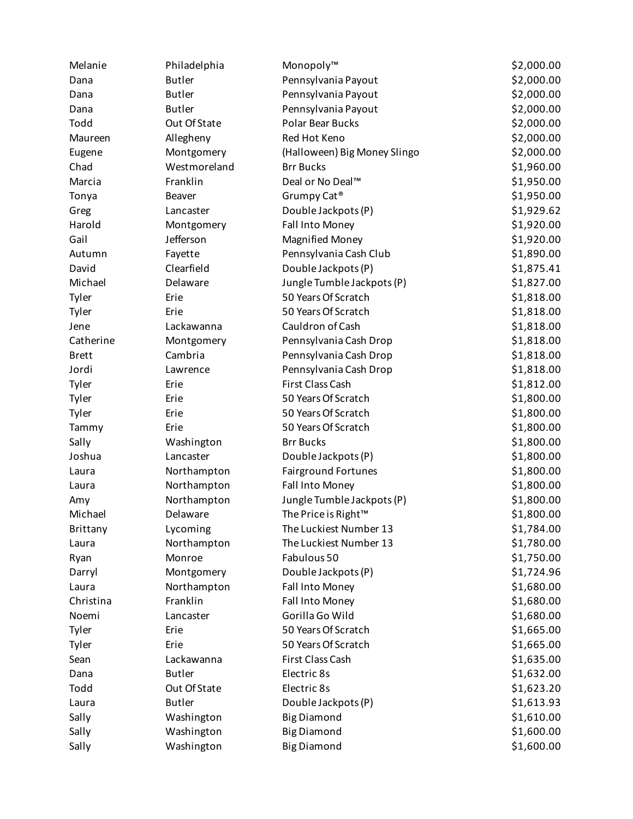| Melanie      | Philadelphia  | Monopoly™                    | \$2,000.00 |
|--------------|---------------|------------------------------|------------|
| Dana         | <b>Butler</b> | Pennsylvania Payout          | \$2,000.00 |
| Dana         | <b>Butler</b> | Pennsylvania Payout          | \$2,000.00 |
| Dana         | <b>Butler</b> | Pennsylvania Payout          | \$2,000.00 |
| Todd         | Out Of State  | Polar Bear Bucks             | \$2,000.00 |
| Maureen      | Allegheny     | Red Hot Keno                 | \$2,000.00 |
| Eugene       | Montgomery    | (Halloween) Big Money Slingo | \$2,000.00 |
| Chad         | Westmoreland  | <b>Brr Bucks</b>             | \$1,960.00 |
| Marcia       | Franklin      | Deal or No Deal™             | \$1,950.00 |
| Tonya        | Beaver        | Grumpy Cat <sup>®</sup>      | \$1,950.00 |
| Greg         | Lancaster     | Double Jackpots (P)          | \$1,929.62 |
| Harold       | Montgomery    | Fall Into Money              | \$1,920.00 |
| Gail         | Jefferson     | <b>Magnified Money</b>       | \$1,920.00 |
| Autumn       | Fayette       | Pennsylvania Cash Club       | \$1,890.00 |
| David        | Clearfield    | Double Jackpots (P)          | \$1,875.41 |
| Michael      | Delaware      | Jungle Tumble Jackpots (P)   | \$1,827.00 |
| Tyler        | Erie          | 50 Years Of Scratch          | \$1,818.00 |
|              | Erie          | 50 Years Of Scratch          | \$1,818.00 |
| Tyler        |               | Cauldron of Cash             | \$1,818.00 |
| Jene         | Lackawanna    |                              |            |
| Catherine    | Montgomery    | Pennsylvania Cash Drop       | \$1,818.00 |
| <b>Brett</b> | Cambria       | Pennsylvania Cash Drop       | \$1,818.00 |
| Jordi        | Lawrence      | Pennsylvania Cash Drop       | \$1,818.00 |
| Tyler        | Erie          | First Class Cash             | \$1,812.00 |
| Tyler        | Erie          | 50 Years Of Scratch          | \$1,800.00 |
| Tyler        | Erie          | 50 Years Of Scratch          | \$1,800.00 |
| Tammy        | Erie          | 50 Years Of Scratch          | \$1,800.00 |
| Sally        | Washington    | <b>Brr Bucks</b>             | \$1,800.00 |
| Joshua       | Lancaster     | Double Jackpots (P)          | \$1,800.00 |
| Laura        | Northampton   | <b>Fairground Fortunes</b>   | \$1,800.00 |
| Laura        | Northampton   | Fall Into Money              | \$1,800.00 |
| Amy          | Northampton   | Jungle Tumble Jackpots (P)   | \$1,800.00 |
| Michael      | Delaware      | The Price is Right™          | \$1,800.00 |
| Brittany     | Lycoming      | The Luckiest Number 13       | \$1,784.00 |
| Laura        | Northampton   | The Luckiest Number 13       | \$1,780.00 |
| Ryan         | Monroe        | Fabulous 50                  | \$1,750.00 |
| Darryl       | Montgomery    | Double Jackpots (P)          | \$1,724.96 |
| Laura        | Northampton   | Fall Into Money              | \$1,680.00 |
| Christina    | Franklin      | Fall Into Money              | \$1,680.00 |
| Noemi        | Lancaster     | Gorilla Go Wild              | \$1,680.00 |
| Tyler        | Erie          | 50 Years Of Scratch          | \$1,665.00 |
| Tyler        | Erie          | 50 Years Of Scratch          | \$1,665.00 |
| Sean         | Lackawanna    | First Class Cash             | \$1,635.00 |
| Dana         | <b>Butler</b> | Electric 8s                  | \$1,632.00 |
| Todd         | Out Of State  | Electric 8s                  | \$1,623.20 |
| Laura        | <b>Butler</b> | Double Jackpots (P)          | \$1,613.93 |
| Sally        | Washington    | <b>Big Diamond</b>           | \$1,610.00 |
| Sally        | Washington    | <b>Big Diamond</b>           | \$1,600.00 |
| Sally        | Washington    | <b>Big Diamond</b>           | \$1,600.00 |
|              |               |                              |            |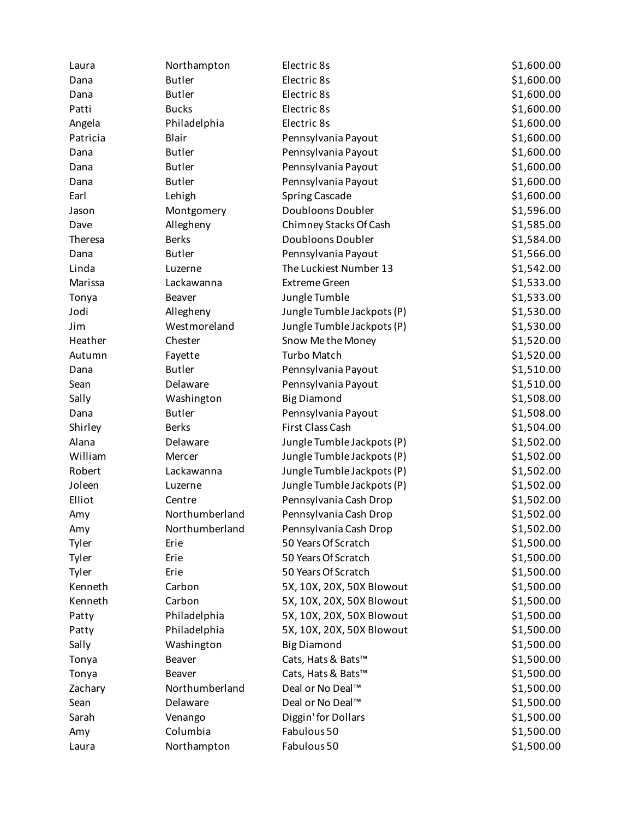| Laura    | Northampton    | Electric 8s                | \$1,600.00 |
|----------|----------------|----------------------------|------------|
| Dana     | <b>Butler</b>  | Electric 8s                | \$1,600.00 |
| Dana     | <b>Butler</b>  | Electric 8s                | \$1,600.00 |
| Patti    | <b>Bucks</b>   | Electric 8s                | \$1,600.00 |
| Angela   | Philadelphia   | Electric 8s                | \$1,600.00 |
| Patricia | Blair          | Pennsylvania Payout        | \$1,600.00 |
| Dana     | <b>Butler</b>  | Pennsylvania Payout        | \$1,600.00 |
| Dana     | <b>Butler</b>  | Pennsylvania Payout        | \$1,600.00 |
| Dana     | <b>Butler</b>  | Pennsylvania Payout        | \$1,600.00 |
| Earl     | Lehigh         | <b>Spring Cascade</b>      | \$1,600.00 |
| Jason    | Montgomery     | Doubloons Doubler          | \$1,596.00 |
| Dave     | Allegheny      | Chimney Stacks Of Cash     | \$1,585.00 |
| Theresa  | <b>Berks</b>   | Doubloons Doubler          | \$1,584.00 |
| Dana     | <b>Butler</b>  | Pennsylvania Payout        | \$1,566.00 |
| Linda    | Luzerne        | The Luckiest Number 13     | \$1,542.00 |
| Marissa  | Lackawanna     | <b>Extreme Green</b>       | \$1,533.00 |
| Tonya    | Beaver         | Jungle Tumble              | \$1,533.00 |
| Jodi     | Allegheny      | Jungle Tumble Jackpots (P) | \$1,530.00 |
| Jim      | Westmoreland   | Jungle Tumble Jackpots (P) | \$1,530.00 |
| Heather  | Chester        | Snow Methe Money           | \$1,520.00 |
| Autumn   | Fayette        | <b>Turbo Match</b>         | \$1,520.00 |
| Dana     | <b>Butler</b>  | Pennsylvania Payout        | \$1,510.00 |
| Sean     | Delaware       | Pennsylvania Payout        | \$1,510.00 |
| Sally    | Washington     | <b>Big Diamond</b>         | \$1,508.00 |
| Dana     | <b>Butler</b>  | Pennsylvania Payout        | \$1,508.00 |
| Shirley  | <b>Berks</b>   | First Class Cash           | \$1,504.00 |
| Alana    | Delaware       | Jungle Tumble Jackpots (P) | \$1,502.00 |
| William  | Mercer         | Jungle Tumble Jackpots (P) | \$1,502.00 |
| Robert   | Lackawanna     | Jungle Tumble Jackpots (P) | \$1,502.00 |
| Joleen   | Luzerne        | Jungle Tumble Jackpots (P) | \$1,502.00 |
| Elliot   | Centre         | Pennsylvania Cash Drop     | \$1,502.00 |
| Amy      | Northumberland | Pennsylvania Cash Drop     | \$1,502.00 |
| Amy      | Northumberland | Pennsylvania Cash Drop     | \$1,502.00 |
| Tyler    | Erie           | 50 Years Of Scratch        | \$1,500.00 |
| Tyler    | Erie           | 50 Years Of Scratch        | \$1,500.00 |
| Tyler    | Erie           | 50 Years Of Scratch        | \$1,500.00 |
| Kenneth  | Carbon         | 5X, 10X, 20X, 50X Blowout  | \$1,500.00 |
| Kenneth  | Carbon         | 5X, 10X, 20X, 50X Blowout  | \$1,500.00 |
| Patty    | Philadelphia   | 5X, 10X, 20X, 50X Blowout  | \$1,500.00 |
| Patty    | Philadelphia   | 5X, 10X, 20X, 50X Blowout  | \$1,500.00 |
| Sally    | Washington     | <b>Big Diamond</b>         | \$1,500.00 |
| Tonya    | Beaver         | Cats, Hats & Bats™         | \$1,500.00 |
| Tonya    | <b>Beaver</b>  | Cats, Hats & Bats™         | \$1,500.00 |
| Zachary  | Northumberland | Deal or No Deal™           | \$1,500.00 |
| Sean     | Delaware       | Deal or No Deal™           | \$1,500.00 |
| Sarah    | Venango        | Diggin' for Dollars        | \$1,500.00 |
| Amy      | Columbia       | Fabulous 50                | \$1,500.00 |
| Laura    | Northampton    | Fabulous 50                | \$1,500.00 |
|          |                |                            |            |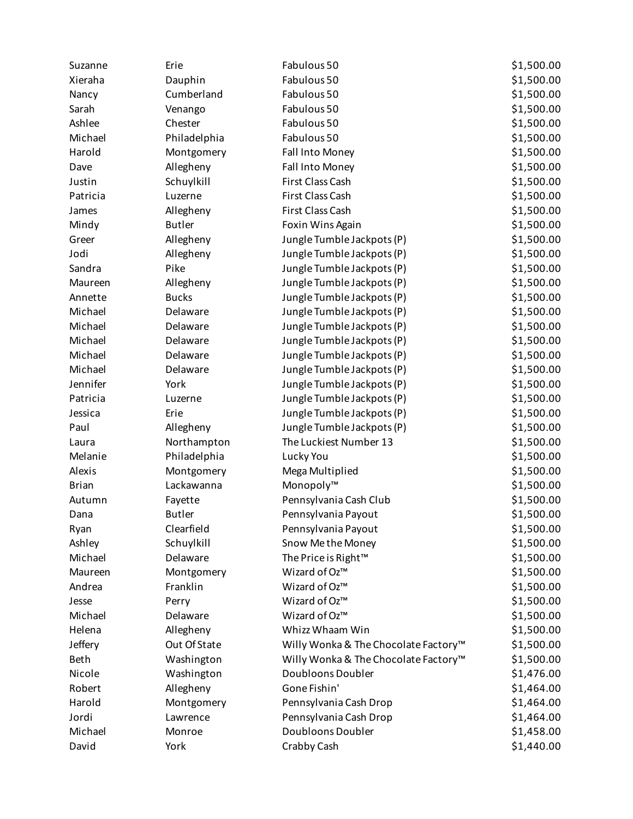| Suzanne                | Erie                      | Fabulous 50                          | \$1,500.00 |
|------------------------|---------------------------|--------------------------------------|------------|
| Xieraha                | Dauphin                   | Fabulous 50                          | \$1,500.00 |
| Nancy                  | Cumberland                | Fabulous 50                          | \$1,500.00 |
| Sarah                  | Venango                   | Fabulous 50                          | \$1,500.00 |
| Ashlee                 | Chester                   | Fabulous 50                          | \$1,500.00 |
| Michael                | Philadelphia              | Fabulous 50                          | \$1,500.00 |
| Harold                 | Montgomery                | Fall Into Money                      | \$1,500.00 |
| Dave                   | Allegheny                 | Fall Into Money                      | \$1,500.00 |
| Justin                 | Schuylkill                | First Class Cash                     | \$1,500.00 |
| Patricia               | Luzerne                   | First Class Cash                     | \$1,500.00 |
| James                  | Allegheny                 | First Class Cash                     | \$1,500.00 |
| Mindy                  | <b>Butler</b>             | Foxin Wins Again                     | \$1,500.00 |
| Greer                  | Allegheny                 | Jungle Tumble Jackpots (P)           | \$1,500.00 |
| Jodi                   | Allegheny                 | Jungle Tumble Jackpots (P)           | \$1,500.00 |
| Sandra                 | Pike                      | Jungle Tumble Jackpots (P)           | \$1,500.00 |
| Maureen                | Allegheny                 | Jungle Tumble Jackpots (P)           | \$1,500.00 |
| Annette                | <b>Bucks</b>              | Jungle Tumble Jackpots (P)           | \$1,500.00 |
| Michael                | Delaware                  | Jungle Tumble Jackpots (P)           | \$1,500.00 |
| Michael                | Delaware                  | Jungle Tumble Jackpots (P)           | \$1,500.00 |
| Michael                | Delaware                  | Jungle Tumble Jackpots (P)           | \$1,500.00 |
| Michael                | Delaware                  | Jungle Tumble Jackpots (P)           | \$1,500.00 |
| Michael                | Delaware                  | Jungle Tumble Jackpots (P)           | \$1,500.00 |
| Jennifer               | York                      | Jungle Tumble Jackpots (P)           | \$1,500.00 |
| Patricia               | Luzerne                   | Jungle Tumble Jackpots (P)           | \$1,500.00 |
| Jessica                | Erie                      | Jungle Tumble Jackpots (P)           | \$1,500.00 |
| Paul                   | Allegheny                 | Jungle Tumble Jackpots (P)           | \$1,500.00 |
| Laura                  | Northampton               | The Luckiest Number 13               | \$1,500.00 |
| Melanie                | Philadelphia              | Lucky You                            | \$1,500.00 |
| Alexis                 | Montgomery                | Mega Multiplied                      | \$1,500.00 |
| <b>Brian</b>           | Lackawanna                | Monopoly™                            | \$1,500.00 |
| Autumn                 | Fayette                   | Pennsylvania Cash Club               | \$1,500.00 |
| Dana                   | <b>Butler</b>             | Pennsylvania Payout                  | \$1,500.00 |
| Ryan                   | Clearfield                | Pennsylvania Payout                  | \$1,500.00 |
| Ashley                 | Schuylkill                | Snow Me the Money                    | \$1,500.00 |
| Michael                | Delaware                  | The Price is Right <sup>™</sup>      | \$1,500.00 |
| Maureen                | Montgomery                | Wizard of Oz™                        | \$1,500.00 |
| Andrea                 | Franklin                  | Wizard of Oz™                        | \$1,500.00 |
| Jesse                  |                           | Wizard of Oz™                        | \$1,500.00 |
| Michael                | Perry<br>Delaware         | Wizard of Oz™                        | \$1,500.00 |
| Helena                 |                           | Whizz Whaam Win                      |            |
|                        | Allegheny<br>Out Of State |                                      | \$1,500.00 |
| Jeffery<br><b>Beth</b> | Washington                | Willy Wonka & The Chocolate Factory™ | \$1,500.00 |
|                        |                           | Willy Wonka & The Chocolate Factory™ | \$1,500.00 |
| Nicole                 | Washington                | Doubloons Doubler                    | \$1,476.00 |
| Robert                 | Allegheny                 | Gone Fishin'                         | \$1,464.00 |
| Harold                 | Montgomery                | Pennsylvania Cash Drop               | \$1,464.00 |
| Jordi                  | Lawrence                  | Pennsylvania Cash Drop               | \$1,464.00 |
| Michael                | Monroe                    | Doubloons Doubler                    | \$1,458.00 |
| David                  | York                      | Crabby Cash                          | \$1,440.00 |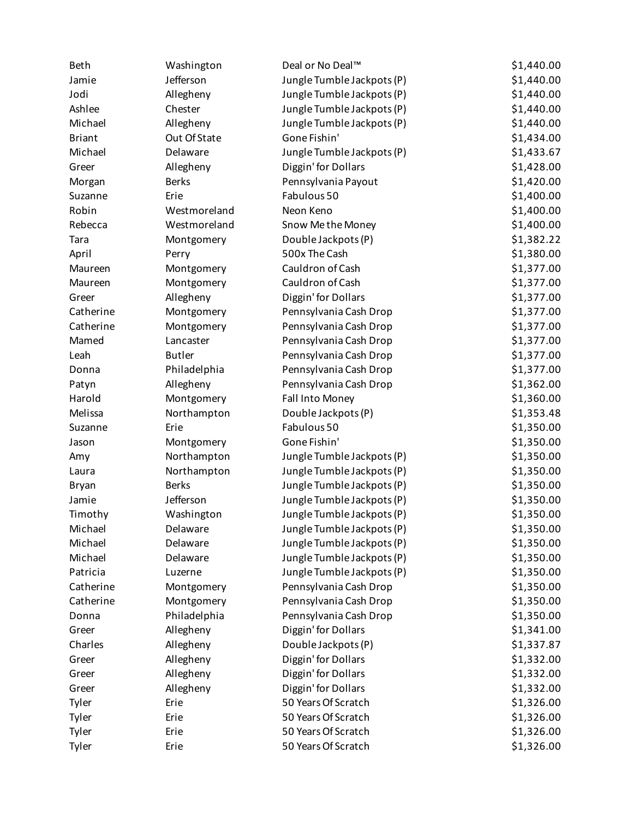| <b>Beth</b>   | Washington    | Deal or No Deal™           | \$1,440.00 |
|---------------|---------------|----------------------------|------------|
| Jamie         | Jefferson     | Jungle Tumble Jackpots (P) | \$1,440.00 |
| Jodi          | Allegheny     | Jungle Tumble Jackpots (P) | \$1,440.00 |
| Ashlee        | Chester       | Jungle Tumble Jackpots (P) | \$1,440.00 |
| Michael       | Allegheny     | Jungle Tumble Jackpots (P) | \$1,440.00 |
| <b>Briant</b> | Out Of State  | Gone Fishin'               | \$1,434.00 |
| Michael       | Delaware      | Jungle Tumble Jackpots (P) | \$1,433.67 |
| Greer         | Allegheny     | Diggin' for Dollars        | \$1,428.00 |
| Morgan        | <b>Berks</b>  | Pennsylvania Payout        | \$1,420.00 |
| Suzanne       | Erie          | Fabulous 50                | \$1,400.00 |
| Robin         | Westmoreland  | Neon Keno                  | \$1,400.00 |
| Rebecca       | Westmoreland  | Snow Me the Money          | \$1,400.00 |
| Tara          | Montgomery    | Double Jackpots (P)        | \$1,382.22 |
| April         | Perry         | 500x The Cash              | \$1,380.00 |
| Maureen       | Montgomery    | Cauldron of Cash           | \$1,377.00 |
| Maureen       | Montgomery    | Cauldron of Cash           | \$1,377.00 |
| Greer         | Allegheny     | Diggin' for Dollars        | \$1,377.00 |
| Catherine     | Montgomery    | Pennsylvania Cash Drop     | \$1,377.00 |
| Catherine     | Montgomery    | Pennsylvania Cash Drop     | \$1,377.00 |
| Mamed         | Lancaster     | Pennsylvania Cash Drop     | \$1,377.00 |
| Leah          | <b>Butler</b> | Pennsylvania Cash Drop     | \$1,377.00 |
| Donna         | Philadelphia  | Pennsylvania Cash Drop     | \$1,377.00 |
| Patyn         | Allegheny     | Pennsylvania Cash Drop     | \$1,362.00 |
| Harold        | Montgomery    | Fall Into Money            | \$1,360.00 |
| Melissa       | Northampton   | Double Jackpots (P)        | \$1,353.48 |
| Suzanne       | Erie          | Fabulous 50                | \$1,350.00 |
| Jason         | Montgomery    | Gone Fishin'               | \$1,350.00 |
| Amy           | Northampton   | Jungle Tumble Jackpots (P) | \$1,350.00 |
| Laura         | Northampton   | Jungle Tumble Jackpots (P) | \$1,350.00 |
| <b>Bryan</b>  | <b>Berks</b>  | Jungle Tumble Jackpots (P) | \$1,350.00 |
| Jamie         | Jefferson     | Jungle Tumble Jackpots (P) | \$1,350.00 |
| Timothy       | Washington    | Jungle Tumble Jackpots (P) | \$1,350.00 |
| Michael       | Delaware      | Jungle Tumble Jackpots (P) | \$1,350.00 |
| Michael       | Delaware      | Jungle Tumble Jackpots (P) | \$1,350.00 |
| Michael       | Delaware      | Jungle Tumble Jackpots (P) | \$1,350.00 |
| Patricia      | Luzerne       | Jungle Tumble Jackpots (P) | \$1,350.00 |
| Catherine     | Montgomery    | Pennsylvania Cash Drop     | \$1,350.00 |
| Catherine     | Montgomery    | Pennsylvania Cash Drop     | \$1,350.00 |
| Donna         | Philadelphia  | Pennsylvania Cash Drop     | \$1,350.00 |
| Greer         | Allegheny     | Diggin' for Dollars        | \$1,341.00 |
| Charles       | Allegheny     | Double Jackpots (P)        | \$1,337.87 |
| Greer         | Allegheny     | Diggin' for Dollars        | \$1,332.00 |
| Greer         | Allegheny     | Diggin' for Dollars        | \$1,332.00 |
| Greer         | Allegheny     | Diggin' for Dollars        | \$1,332.00 |
| Tyler         | Erie          | 50 Years Of Scratch        | \$1,326.00 |
| Tyler         | Erie          | 50 Years Of Scratch        | \$1,326.00 |
| Tyler         | Erie          | 50 Years Of Scratch        | \$1,326.00 |
| Tyler         | Erie          | 50 Years Of Scratch        | \$1,326.00 |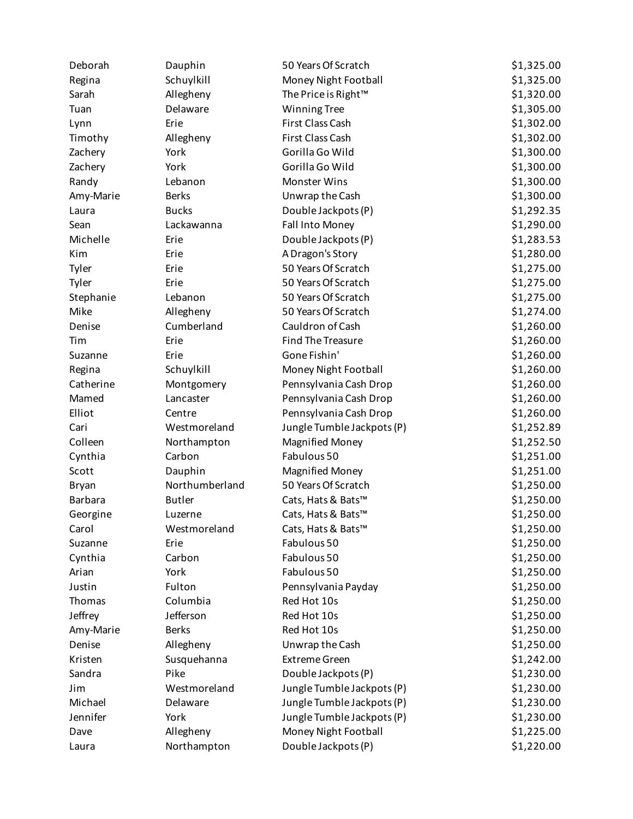| Deborah        | Dauphin        | 50 Years Of Scratch        | \$1,325.00 |
|----------------|----------------|----------------------------|------------|
| Regina         | Schuylkill     | Money Night Football       | \$1,325.00 |
| Sarah          | Allegheny      | The Price is Right™        | \$1,320.00 |
| Tuan           | Delaware       | <b>Winning Tree</b>        | \$1,305.00 |
| Lynn           | Erie           | First Class Cash           | \$1,302.00 |
| Timothy        | Allegheny      | First Class Cash           | \$1,302.00 |
| Zachery        | York           | Gorilla Go Wild            | \$1,300.00 |
| Zachery        | York           | Gorilla Go Wild            | \$1,300.00 |
| Randy          | Lebanon        | Monster Wins               | \$1,300.00 |
| Amy-Marie      | <b>Berks</b>   | Unwrap the Cash            | \$1,300.00 |
| Laura          | <b>Bucks</b>   | Double Jackpots (P)        | \$1,292.35 |
| Sean           | Lackawanna     | Fall Into Money            | \$1,290.00 |
| Michelle       | Erie           | Double Jackpots (P)        | \$1,283.53 |
| Kim            | Erie           | A Dragon's Story           | \$1,280.00 |
| Tyler          | Erie           | 50 Years Of Scratch        | \$1,275.00 |
| Tyler          | Erie           | 50 Years Of Scratch        | \$1,275.00 |
| Stephanie      | Lebanon        | 50 Years Of Scratch        | \$1,275.00 |
| Mike           | Allegheny      | 50 Years Of Scratch        | \$1,274.00 |
| Denise         | Cumberland     | Cauldron of Cash           | \$1,260.00 |
| Tim            | Erie           | <b>Find The Treasure</b>   | \$1,260.00 |
| Suzanne        | Erie           | Gone Fishin'               | \$1,260.00 |
| Regina         | Schuylkill     | Money Night Football       | \$1,260.00 |
| Catherine      | Montgomery     | Pennsylvania Cash Drop     | \$1,260.00 |
| Mamed          | Lancaster      | Pennsylvania Cash Drop     | \$1,260.00 |
| Elliot         | Centre         | Pennsylvania Cash Drop     | \$1,260.00 |
| Cari           | Westmoreland   | Jungle Tumble Jackpots (P) | \$1,252.89 |
| Colleen        | Northampton    | <b>Magnified Money</b>     | \$1,252.50 |
| Cynthia        | Carbon         | Fabulous 50                | \$1,251.00 |
| Scott          | Dauphin        | <b>Magnified Money</b>     | \$1,251.00 |
| Bryan          | Northumberland | 50 Years Of Scratch        | \$1,250.00 |
| <b>Barbara</b> | <b>Butler</b>  | Cats, Hats & Bats™         | \$1,250.00 |
| Georgine       | Luzerne        | Cats, Hats & Bats™         | \$1,250.00 |
| Carol          | Westmoreland   | Cats, Hats & Bats™         | \$1,250.00 |
| Suzanne        | Erie           | Fabulous 50                | \$1,250.00 |
| Cynthia        | Carbon         | Fabulous 50                | \$1,250.00 |
| Arian          | York           | Fabulous 50                | \$1,250.00 |
| Justin         | Fulton         | Pennsylvania Payday        | \$1,250.00 |
| Thomas         | Columbia       | Red Hot 10s                | \$1,250.00 |
| Jeffrey        | Jefferson      | Red Hot 10s                | \$1,250.00 |
| Amy-Marie      | <b>Berks</b>   | Red Hot 10s                | \$1,250.00 |
| Denise         | Allegheny      | Unwrap the Cash            | \$1,250.00 |
| Kristen        | Susquehanna    | <b>Extreme Green</b>       | \$1,242.00 |
| Sandra         | Pike           | Double Jackpots (P)        | \$1,230.00 |
| Jim            | Westmoreland   | Jungle Tumble Jackpots (P) | \$1,230.00 |
| Michael        | Delaware       | Jungle Tumble Jackpots (P) | \$1,230.00 |
| Jennifer       | York           | Jungle Tumble Jackpots (P) | \$1,230.00 |
| Dave           | Allegheny      | Money Night Football       | \$1,225.00 |
| Laura          | Northampton    | Double Jackpots (P)        | \$1,220.00 |
|                |                |                            |            |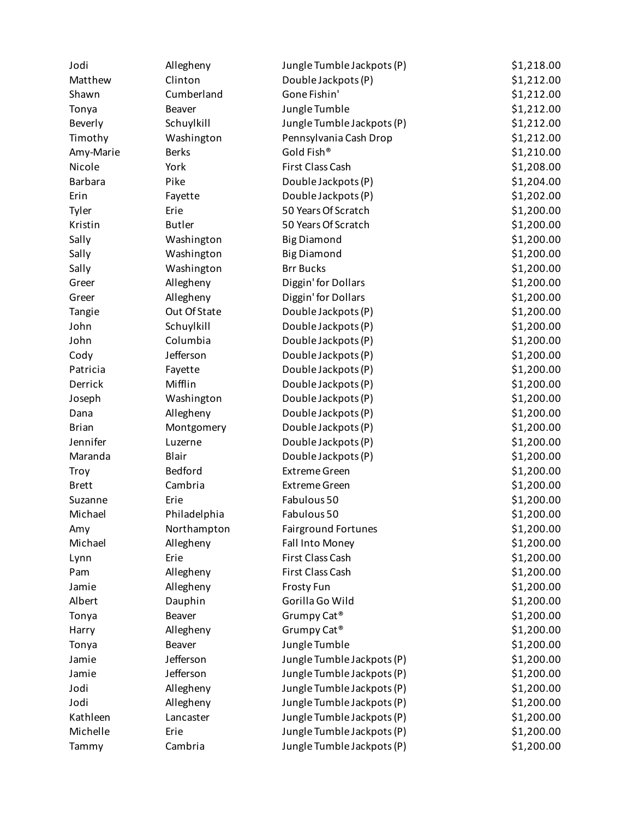| Jodi           | Allegheny     | Jungle Tumble Jackpots (P) | \$1,218.00 |
|----------------|---------------|----------------------------|------------|
| Matthew        | Clinton       | Double Jackpots (P)        | \$1,212.00 |
| Shawn          | Cumberland    | Gone Fishin'               | \$1,212.00 |
| Tonya          | Beaver        | Jungle Tumble              | \$1,212.00 |
| Beverly        | Schuylkill    | Jungle Tumble Jackpots (P) | \$1,212.00 |
| Timothy        | Washington    | Pennsylvania Cash Drop     | \$1,212.00 |
| Amy-Marie      | <b>Berks</b>  | Gold Fish®                 | \$1,210.00 |
| Nicole         | York          | First Class Cash           | \$1,208.00 |
| <b>Barbara</b> | Pike          | Double Jackpots (P)        | \$1,204.00 |
| Erin           | Fayette       | Double Jackpots (P)        | \$1,202.00 |
| Tyler          | Erie          | 50 Years Of Scratch        | \$1,200.00 |
| Kristin        | <b>Butler</b> | 50 Years Of Scratch        | \$1,200.00 |
| Sally          | Washington    | <b>Big Diamond</b>         | \$1,200.00 |
| Sally          | Washington    | <b>Big Diamond</b>         | \$1,200.00 |
| Sally          | Washington    | <b>Brr Bucks</b>           | \$1,200.00 |
| Greer          | Allegheny     | Diggin' for Dollars        | \$1,200.00 |
| Greer          | Allegheny     | Diggin' for Dollars        | \$1,200.00 |
| Tangie         | Out Of State  | Double Jackpots (P)        | \$1,200.00 |
| John           | Schuylkill    | Double Jackpots (P)        | \$1,200.00 |
| John           | Columbia      | Double Jackpots (P)        | \$1,200.00 |
| Cody           | Jefferson     | Double Jackpots (P)        | \$1,200.00 |
| Patricia       | Fayette       | Double Jackpots (P)        | \$1,200.00 |
| Derrick        | Mifflin       | Double Jackpots (P)        | \$1,200.00 |
| Joseph         | Washington    | Double Jackpots (P)        | \$1,200.00 |
| Dana           | Allegheny     | Double Jackpots (P)        | \$1,200.00 |
| <b>Brian</b>   | Montgomery    | Double Jackpots (P)        | \$1,200.00 |
| Jennifer       | Luzerne       | Double Jackpots (P)        | \$1,200.00 |
| Maranda        | Blair         | Double Jackpots (P)        | \$1,200.00 |
| <b>Troy</b>    | Bedford       | <b>Extreme Green</b>       | \$1,200.00 |
| <b>Brett</b>   | Cambria       | <b>Extreme Green</b>       | \$1,200.00 |
| Suzanne        | Erie          | Fabulous 50                | \$1,200.00 |
| Michael        | Philadelphia  | Fabulous 50                | \$1,200.00 |
| Amy            | Northampton   | <b>Fairground Fortunes</b> | \$1,200.00 |
| Michael        | Allegheny     | Fall Into Money            | \$1,200.00 |
| Lynn           | Erie          | First Class Cash           | \$1,200.00 |
| Pam            | Allegheny     | First Class Cash           | \$1,200.00 |
| Jamie          | Allegheny     | Frosty Fun                 | \$1,200.00 |
| Albert         | Dauphin       | Gorilla Go Wild            | \$1,200.00 |
| Tonya          | <b>Beaver</b> | Grumpy Cat <sup>®</sup>    | \$1,200.00 |
| Harry          | Allegheny     | Grumpy Cat <sup>®</sup>    | \$1,200.00 |
| Tonya          | Beaver        | Jungle Tumble              | \$1,200.00 |
| Jamie          | Jefferson     | Jungle Tumble Jackpots (P) | \$1,200.00 |
| Jamie          | Jefferson     | Jungle Tumble Jackpots (P) | \$1,200.00 |
| Jodi           | Allegheny     | Jungle Tumble Jackpots (P) | \$1,200.00 |
| Jodi           | Allegheny     | Jungle Tumble Jackpots (P) | \$1,200.00 |
| Kathleen       | Lancaster     | Jungle Tumble Jackpots (P) | \$1,200.00 |
| Michelle       | Erie          | Jungle Tumble Jackpots (P) | \$1,200.00 |
| Tammy          | Cambria       | Jungle Tumble Jackpots (P) | \$1,200.00 |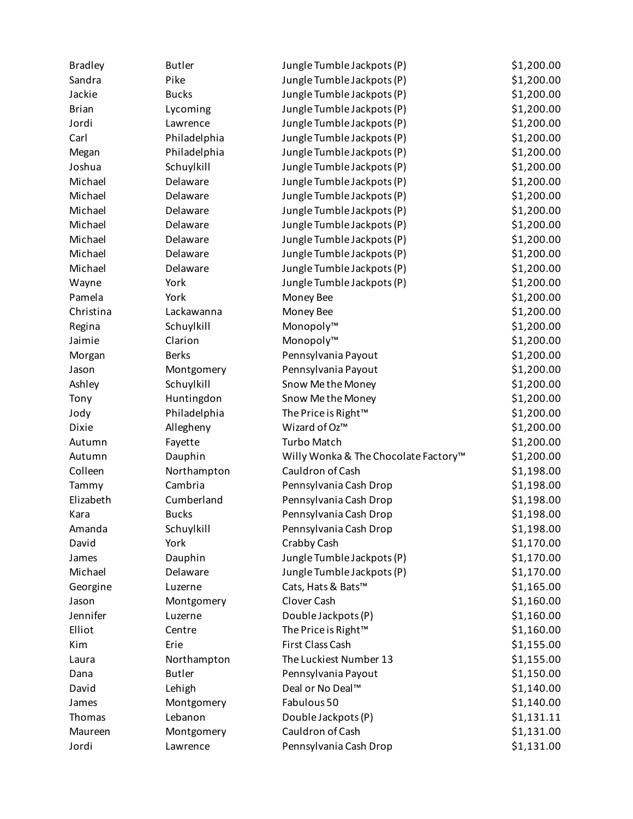| <b>Bradley</b> | <b>Butler</b> | Jungle Tumble Jackpots (P)           | \$1,200.00 |
|----------------|---------------|--------------------------------------|------------|
| Sandra         | Pike          | Jungle Tumble Jackpots (P)           | \$1,200.00 |
| Jackie         | <b>Bucks</b>  | Jungle Tumble Jackpots (P)           | \$1,200.00 |
| <b>Brian</b>   | Lycoming      | Jungle Tumble Jackpots (P)           | \$1,200.00 |
| Jordi          | Lawrence      | Jungle Tumble Jackpots (P)           | \$1,200.00 |
| Carl           | Philadelphia  | Jungle Tumble Jackpots (P)           | \$1,200.00 |
| Megan          | Philadelphia  | Jungle Tumble Jackpots (P)           | \$1,200.00 |
| Joshua         | Schuylkill    | Jungle Tumble Jackpots (P)           | \$1,200.00 |
| Michael        | Delaware      | Jungle Tumble Jackpots (P)           | \$1,200.00 |
| Michael        | Delaware      | Jungle Tumble Jackpots (P)           | \$1,200.00 |
| Michael        | Delaware      | Jungle Tumble Jackpots (P)           | \$1,200.00 |
| Michael        | Delaware      | Jungle Tumble Jackpots (P)           | \$1,200.00 |
| Michael        | Delaware      | Jungle Tumble Jackpots (P)           | \$1,200.00 |
| Michael        | Delaware      | Jungle Tumble Jackpots (P)           | \$1,200.00 |
| Michael        | Delaware      | Jungle Tumble Jackpots (P)           | \$1,200.00 |
| Wayne          | York          | Jungle Tumble Jackpots (P)           | \$1,200.00 |
| Pamela         | York          | Money Bee                            | \$1,200.00 |
| Christina      | Lackawanna    | Money Bee                            | \$1,200.00 |
| Regina         | Schuylkill    | Monopoly™                            | \$1,200.00 |
| Jaimie         | Clarion       | Monopoly™                            | \$1,200.00 |
| Morgan         | <b>Berks</b>  | Pennsylvania Payout                  | \$1,200.00 |
| Jason          | Montgomery    | Pennsylvania Payout                  | \$1,200.00 |
| Ashley         | Schuylkill    | Snow Me the Money                    | \$1,200.00 |
| Tony           | Huntingdon    | Snow Me the Money                    | \$1,200.00 |
| Jody           | Philadelphia  | The Price is Right <sup>™</sup>      | \$1,200.00 |
| <b>Dixie</b>   | Allegheny     | Wizard of Oz™                        | \$1,200.00 |
| Autumn         | Fayette       | <b>Turbo Match</b>                   | \$1,200.00 |
| Autumn         | Dauphin       | Willy Wonka & The Chocolate Factory™ | \$1,200.00 |
| Colleen        | Northampton   | Cauldron of Cash                     | \$1,198.00 |
| Tammy          | Cambria       | Pennsylvania Cash Drop               | \$1,198.00 |
| Elizabeth      | Cumberland    | Pennsylvania Cash Drop               | \$1,198.00 |
| Kara           | <b>Bucks</b>  | Pennsylvania Cash Drop               | \$1,198.00 |
| Amanda         | Schuylkill    | Pennsylvania Cash Drop               | \$1,198.00 |
| David          | York          | Crabby Cash                          | \$1,170.00 |
| James          | Dauphin       | Jungle Tumble Jackpots (P)           | \$1,170.00 |
| Michael        | Delaware      | Jungle Tumble Jackpots (P)           | \$1,170.00 |
| Georgine       | Luzerne       | Cats, Hats & Bats™                   | \$1,165.00 |
| Jason          | Montgomery    | Clover Cash                          | \$1,160.00 |
| Jennifer       | Luzerne       | Double Jackpots (P)                  | \$1,160.00 |
| Elliot         | Centre        | The Price is Right™                  | \$1,160.00 |
| Kim            | Erie          | First Class Cash                     | \$1,155.00 |
| Laura          | Northampton   | The Luckiest Number 13               | \$1,155.00 |
| Dana           | <b>Butler</b> | Pennsylvania Payout                  | \$1,150.00 |
| David          | Lehigh        | Deal or No Deal™                     | \$1,140.00 |
| James          | Montgomery    | Fabulous 50                          | \$1,140.00 |
| Thomas         | Lebanon       | Double Jackpots (P)                  | \$1,131.11 |
| Maureen        | Montgomery    | Cauldron of Cash                     | \$1,131.00 |
| Jordi          | Lawrence      | Pennsylvania Cash Drop               | \$1,131.00 |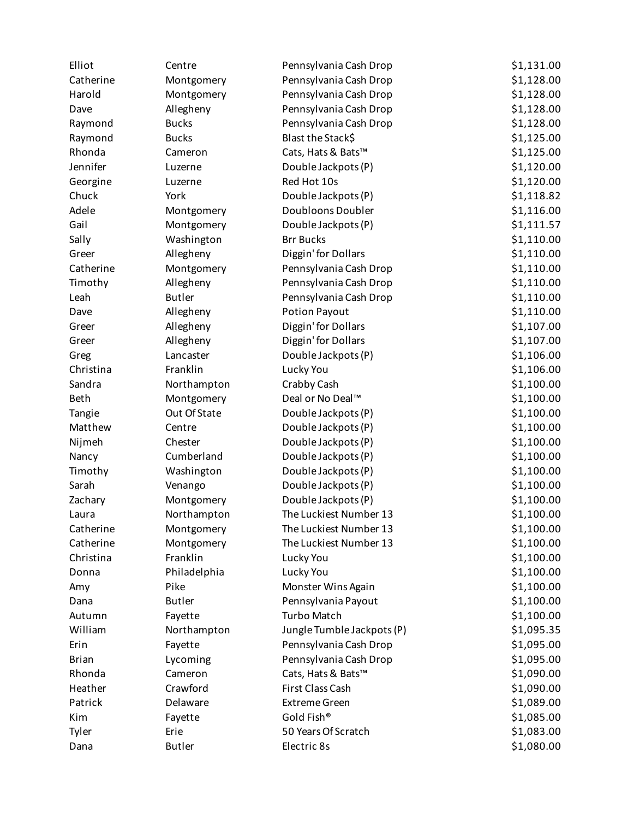| Elliot       | Centre        | Pennsylvania Cash Drop     | \$1,131.00 |
|--------------|---------------|----------------------------|------------|
| Catherine    | Montgomery    | Pennsylvania Cash Drop     | \$1,128.00 |
| Harold       | Montgomery    | Pennsylvania Cash Drop     | \$1,128.00 |
| Dave         | Allegheny     | Pennsylvania Cash Drop     | \$1,128.00 |
| Raymond      | <b>Bucks</b>  | Pennsylvania Cash Drop     | \$1,128.00 |
| Raymond      | <b>Bucks</b>  | Blast the Stack\$          | \$1,125.00 |
| Rhonda       | Cameron       | Cats, Hats & Bats™         | \$1,125.00 |
| Jennifer     | Luzerne       | Double Jackpots (P)        | \$1,120.00 |
| Georgine     | Luzerne       | Red Hot 10s                | \$1,120.00 |
| Chuck        | York          | Double Jackpots (P)        | \$1,118.82 |
| Adele        | Montgomery    | Doubloons Doubler          | \$1,116.00 |
| Gail         | Montgomery    | Double Jackpots (P)        | \$1,111.57 |
| Sally        | Washington    | <b>Brr Bucks</b>           | \$1,110.00 |
| Greer        | Allegheny     | Diggin' for Dollars        | \$1,110.00 |
| Catherine    | Montgomery    | Pennsylvania Cash Drop     | \$1,110.00 |
| Timothy      | Allegheny     | Pennsylvania Cash Drop     | \$1,110.00 |
| Leah         | <b>Butler</b> | Pennsylvania Cash Drop     | \$1,110.00 |
| Dave         | Allegheny     | <b>Potion Payout</b>       | \$1,110.00 |
| Greer        | Allegheny     | Diggin' for Dollars        | \$1,107.00 |
| Greer        | Allegheny     | Diggin' for Dollars        | \$1,107.00 |
| Greg         | Lancaster     | Double Jackpots (P)        | \$1,106.00 |
| Christina    | Franklin      | Lucky You                  | \$1,106.00 |
| Sandra       | Northampton   | Crabby Cash                | \$1,100.00 |
| <b>Beth</b>  | Montgomery    | Deal or No Deal™           | \$1,100.00 |
| Tangie       | Out Of State  | Double Jackpots (P)        | \$1,100.00 |
| Matthew      | Centre        | Double Jackpots (P)        | \$1,100.00 |
| Nijmeh       | Chester       | Double Jackpots (P)        | \$1,100.00 |
| Nancy        | Cumberland    | Double Jackpots (P)        | \$1,100.00 |
| Timothy      | Washington    | Double Jackpots (P)        | \$1,100.00 |
| Sarah        | Venango       | Double Jackpots (P)        | \$1,100.00 |
| Zachary      | Montgomery    | Double Jackpots (P)        | \$1,100.00 |
| Laura        | Northampton   | The Luckiest Number 13     | \$1,100.00 |
| Catherine    | Montgomery    | The Luckiest Number 13     | \$1,100.00 |
| Catherine    | Montgomery    | The Luckiest Number 13     | \$1,100.00 |
| Christina    | Franklin      | Lucky You                  | \$1,100.00 |
| Donna        | Philadelphia  | Lucky You                  | \$1,100.00 |
| Amy          | Pike          | Monster Wins Again         | \$1,100.00 |
| Dana         | <b>Butler</b> | Pennsylvania Payout        | \$1,100.00 |
| Autumn       | Fayette       | <b>Turbo Match</b>         | \$1,100.00 |
| William      | Northampton   | Jungle Tumble Jackpots (P) | \$1,095.35 |
| Erin         | Fayette       | Pennsylvania Cash Drop     | \$1,095.00 |
| <b>Brian</b> | Lycoming      | Pennsylvania Cash Drop     | \$1,095.00 |
| Rhonda       | Cameron       | Cats, Hats & Bats™         | \$1,090.00 |
| Heather      | Crawford      | First Class Cash           | \$1,090.00 |
| Patrick      | Delaware      | <b>Extreme Green</b>       | \$1,089.00 |
| Kim          | Fayette       | Gold Fish®                 | \$1,085.00 |
| Tyler        | Erie          | 50 Years Of Scratch        | \$1,083.00 |
| Dana         | <b>Butler</b> | Electric 8s                | \$1,080.00 |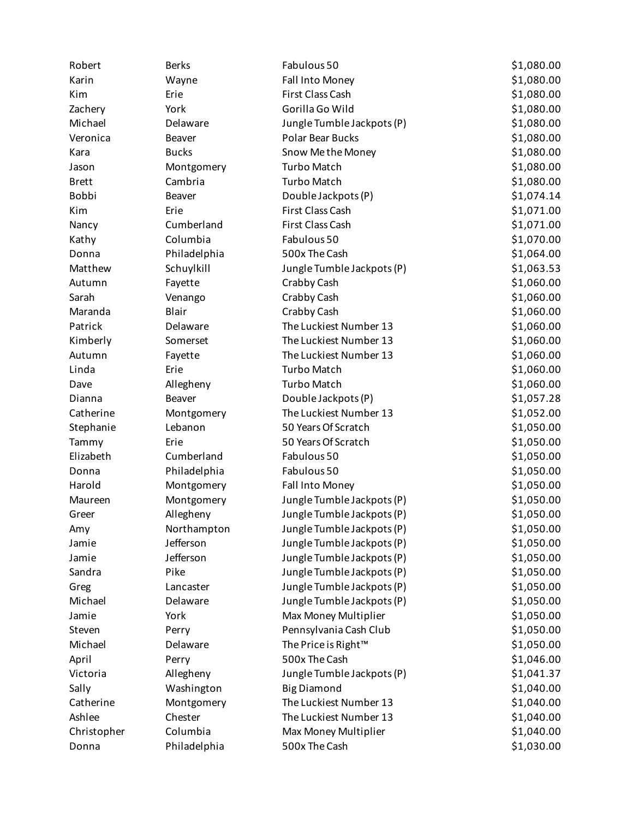| Robert       | <b>Berks</b>            | Fabulous 50                     | \$1,080.00 |
|--------------|-------------------------|---------------------------------|------------|
| Karin        | Wayne                   | Fall Into Money                 | \$1,080.00 |
| Kim          | Erie                    | First Class Cash                | \$1,080.00 |
| Zachery      | York                    | Gorilla Go Wild                 | \$1,080.00 |
| Michael      | Delaware                | Jungle Tumble Jackpots (P)      | \$1,080.00 |
| Veronica     | Beaver                  | Polar Bear Bucks                | \$1,080.00 |
| Kara         | <b>Bucks</b>            | Snow Me the Money               | \$1,080.00 |
| Jason        | Montgomery              | <b>Turbo Match</b>              | \$1,080.00 |
| <b>Brett</b> | Cambria                 | <b>Turbo Match</b>              | \$1,080.00 |
| Bobbi        | <b>Beaver</b>           | Double Jackpots (P)             | \$1,074.14 |
| Kim          | Erie                    | First Class Cash                | \$1,071.00 |
| Nancy        | Cumberland              | First Class Cash                | \$1,071.00 |
| Kathy        | Columbia                | Fabulous 50                     | \$1,070.00 |
| Donna        | Philadelphia            | 500x The Cash                   | \$1,064.00 |
| Matthew      | Schuylkill              | Jungle Tumble Jackpots (P)      | \$1,063.53 |
| Autumn       | Fayette                 | Crabby Cash                     | \$1,060.00 |
| Sarah        | Venango                 | Crabby Cash                     | \$1,060.00 |
| Maranda      | Blair                   | Crabby Cash                     | \$1,060.00 |
| Patrick      | Delaware                | The Luckiest Number 13          | \$1,060.00 |
| Kimberly     | Somerset                | The Luckiest Number 13          | \$1,060.00 |
| Autumn       | Fayette                 | The Luckiest Number 13          | \$1,060.00 |
| Linda        | Erie                    | <b>Turbo Match</b>              | \$1,060.00 |
| Dave         | Allegheny               | <b>Turbo Match</b>              | \$1,060.00 |
| Dianna       | Beaver                  | Double Jackpots (P)             | \$1,057.28 |
| Catherine    | Montgomery              | The Luckiest Number 13          | \$1,052.00 |
| Stephanie    | Lebanon                 | 50 Years Of Scratch             | \$1,050.00 |
| Tammy        | Erie                    | 50 Years Of Scratch             | \$1,050.00 |
| Elizabeth    | Cumberland              | Fabulous 50                     | \$1,050.00 |
| Donna        | Philadelphia            | Fabulous 50                     | \$1,050.00 |
| Harold       | Montgomery              | Fall Into Money                 | \$1,050.00 |
| Maureen      | Montgomery              | Jungle Tumble Jackpots (P)      | \$1,050.00 |
| Greer        | Allegheny               | Jungle Tumble Jackpots (P)      | \$1,050.00 |
| Amy          | Northampton             | Jungle Tumble Jackpots (P)      | \$1,050.00 |
| Jamie        | Jefferson               | Jungle Tumble Jackpots (P)      | \$1,050.00 |
| Jamie        | Jefferson               | Jungle Tumble Jackpots (P)      | \$1,050.00 |
| Sandra       | Pike                    | Jungle Tumble Jackpots (P)      | \$1,050.00 |
| Greg         | Lancaster               | Jungle Tumble Jackpots (P)      | \$1,050.00 |
| Michael      | Delaware                | Jungle Tumble Jackpots (P)      | \$1,050.00 |
| Jamie        | York                    | Max Money Multiplier            | \$1,050.00 |
| Steven       | Perry                   | Pennsylvania Cash Club          | \$1,050.00 |
| Michael      | Delaware                | The Price is Right <sup>™</sup> | \$1,050.00 |
| April        | Perry                   | 500x The Cash                   | \$1,046.00 |
| Victoria     |                         | Jungle Tumble Jackpots (P)      | \$1,041.37 |
| Sally        | Allegheny<br>Washington | <b>Big Diamond</b>              | \$1,040.00 |
| Catherine    |                         | The Luckiest Number 13          | \$1,040.00 |
| Ashlee       | Montgomery              | The Luckiest Number 13          |            |
|              | Chester<br>Columbia     |                                 | \$1,040.00 |
| Christopher  |                         | Max Money Multiplier            | \$1,040.00 |
| Donna        | Philadelphia            | 500x The Cash                   | \$1,030.00 |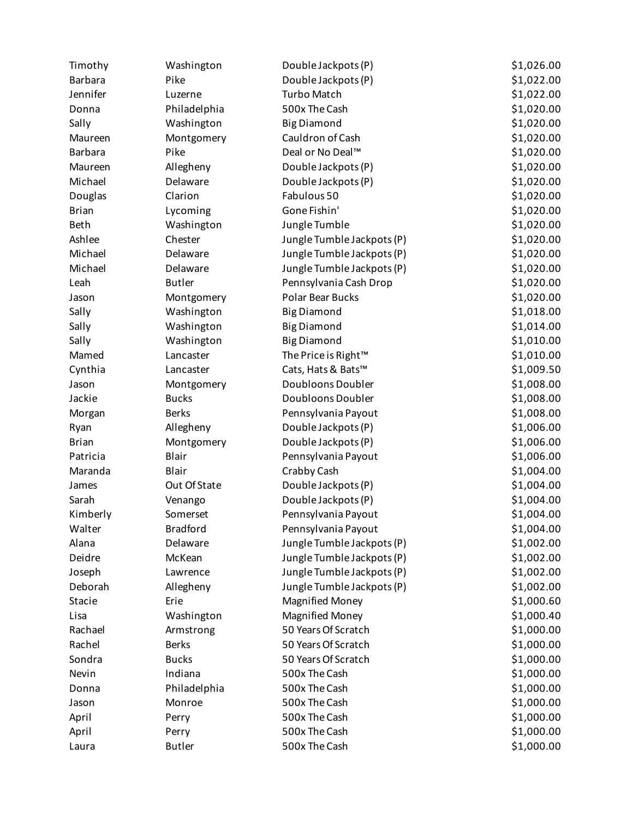| Timothy            | Washington          | Double Jackpots (P)        | \$1,026.00 |
|--------------------|---------------------|----------------------------|------------|
| <b>Barbara</b>     | Pike                | Double Jackpots (P)        | \$1,022.00 |
| Jennifer           | Luzerne             | <b>Turbo Match</b>         | \$1,022.00 |
| Donna              | Philadelphia        | 500x The Cash              | \$1,020.00 |
| Sally              | Washington          | <b>Big Diamond</b>         | \$1,020.00 |
| Maureen            | Montgomery          | Cauldron of Cash           | \$1,020.00 |
| <b>Barbara</b>     | Pike                | Deal or No Deal™           | \$1,020.00 |
| Maureen            | Allegheny           | Double Jackpots (P)        | \$1,020.00 |
| Michael            | Delaware            | Double Jackpots (P)        | \$1,020.00 |
| Douglas            | Clarion             | Fabulous 50                | \$1,020.00 |
| <b>Brian</b>       | Lycoming            | Gone Fishin'               | \$1,020.00 |
| <b>Beth</b>        | Washington          | Jungle Tumble              | \$1,020.00 |
| Ashlee             | Chester             | Jungle Tumble Jackpots (P) | \$1,020.00 |
| Michael            | Delaware            | Jungle Tumble Jackpots (P) | \$1,020.00 |
| Michael            | Delaware            | Jungle Tumble Jackpots (P) | \$1,020.00 |
| Leah               | <b>Butler</b>       | Pennsylvania Cash Drop     | \$1,020.00 |
| Jason              | Montgomery          | <b>Polar Bear Bucks</b>    | \$1,020.00 |
| Sally              | Washington          | <b>Big Diamond</b>         | \$1,018.00 |
| Sally              | Washington          | <b>Big Diamond</b>         | \$1,014.00 |
| Sally              | Washington          | <b>Big Diamond</b>         | \$1,010.00 |
| Mamed              | Lancaster           | The Price is Right™        | \$1,010.00 |
| Cynthia            | Lancaster           | Cats, Hats & Bats™         | \$1,009.50 |
| Jason              | Montgomery          | Doubloons Doubler          | \$1,008.00 |
| Jackie             | <b>Bucks</b>        | Doubloons Doubler          | \$1,008.00 |
| Morgan             | <b>Berks</b>        | Pennsylvania Payout        | \$1,008.00 |
| Ryan               | Allegheny           | Double Jackpots (P)        | \$1,006.00 |
| <b>Brian</b>       | Montgomery          | Double Jackpots (P)        | \$1,006.00 |
| Patricia           | Blair               | Pennsylvania Payout        | \$1,006.00 |
| Maranda            | <b>Blair</b>        | Crabby Cash                | \$1,004.00 |
| James              | Out Of State        | Double Jackpots (P)        | \$1,004.00 |
| Sarah              |                     | Double Jackpots (P)        | \$1,004.00 |
|                    | Venango<br>Somerset | Pennsylvania Payout        | \$1,004.00 |
| Kimberly<br>Walter | <b>Bradford</b>     | Pennsylvania Payout        | \$1,004.00 |
| Alana              |                     | Jungle Tumble Jackpots (P) | \$1,002.00 |
|                    | Delaware            |                            |            |
| Deidre             | McKean              | Jungle Tumble Jackpots (P) | \$1,002.00 |
| Joseph             | Lawrence            | Jungle Tumble Jackpots (P) | \$1,002.00 |
| Deborah            | Allegheny           | Jungle Tumble Jackpots (P) | \$1,002.00 |
| Stacie             | Erie                | <b>Magnified Money</b>     | \$1,000.60 |
| Lisa               | Washington          | <b>Magnified Money</b>     | \$1,000.40 |
| Rachael            | Armstrong           | 50 Years Of Scratch        | \$1,000.00 |
| Rachel             | <b>Berks</b>        | 50 Years Of Scratch        | \$1,000.00 |
| Sondra             | <b>Bucks</b>        | 50 Years Of Scratch        | \$1,000.00 |
| Nevin              | Indiana             | 500x The Cash              | \$1,000.00 |
| Donna              | Philadelphia        | 500x The Cash              | \$1,000.00 |
| Jason              | Monroe              | 500x The Cash              | \$1,000.00 |
| April              | Perry               | 500x The Cash              | \$1,000.00 |
| April              | Perry               | 500x The Cash              | \$1,000.00 |
| Laura              | <b>Butler</b>       | 500x The Cash              | \$1,000.00 |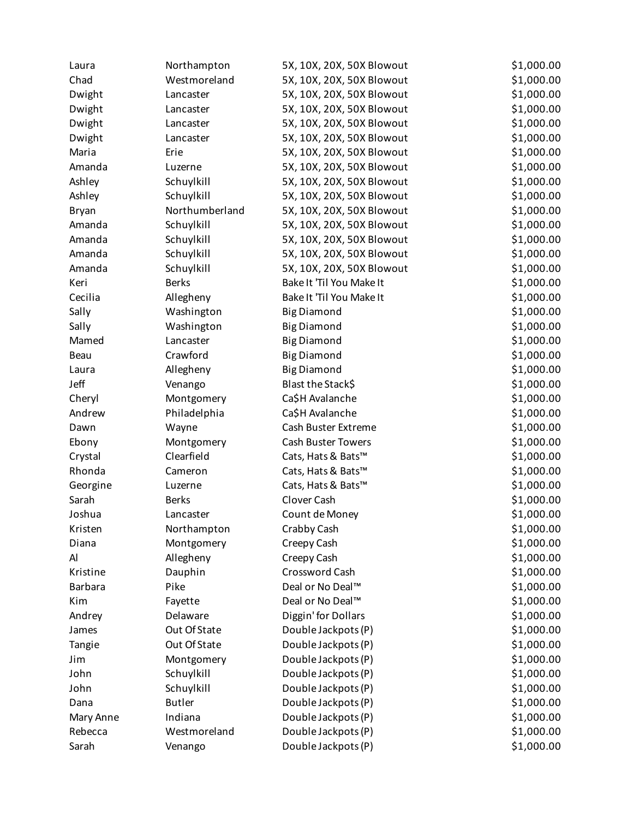| Laura          | Northampton    | 5X, 10X, 20X, 50X Blowout | \$1,000.00 |
|----------------|----------------|---------------------------|------------|
| Chad           | Westmoreland   | 5X, 10X, 20X, 50X Blowout | \$1,000.00 |
| Dwight         | Lancaster      | 5X, 10X, 20X, 50X Blowout | \$1,000.00 |
| Dwight         | Lancaster      | 5X, 10X, 20X, 50X Blowout | \$1,000.00 |
| Dwight         | Lancaster      | 5X, 10X, 20X, 50X Blowout | \$1,000.00 |
| Dwight         | Lancaster      | 5X, 10X, 20X, 50X Blowout | \$1,000.00 |
| Maria          | Erie           | 5X, 10X, 20X, 50X Blowout | \$1,000.00 |
| Amanda         | Luzerne        | 5X, 10X, 20X, 50X Blowout | \$1,000.00 |
| Ashley         | Schuylkill     | 5X, 10X, 20X, 50X Blowout | \$1,000.00 |
| Ashley         | Schuylkill     | 5X, 10X, 20X, 50X Blowout | \$1,000.00 |
| <b>Bryan</b>   | Northumberland | 5X, 10X, 20X, 50X Blowout | \$1,000.00 |
| Amanda         | Schuylkill     | 5X, 10X, 20X, 50X Blowout | \$1,000.00 |
| Amanda         | Schuylkill     | 5X, 10X, 20X, 50X Blowout | \$1,000.00 |
| Amanda         | Schuylkill     | 5X, 10X, 20X, 50X Blowout | \$1,000.00 |
| Amanda         | Schuylkill     | 5X, 10X, 20X, 50X Blowout | \$1,000.00 |
| Keri           | <b>Berks</b>   | Bake It 'Til You Make It  | \$1,000.00 |
| Cecilia        | Allegheny      | Bake It 'Til You Make It  | \$1,000.00 |
| Sally          | Washington     | <b>Big Diamond</b>        | \$1,000.00 |
| Sally          | Washington     | <b>Big Diamond</b>        | \$1,000.00 |
| Mamed          | Lancaster      | <b>Big Diamond</b>        | \$1,000.00 |
| Beau           | Crawford       | <b>Big Diamond</b>        | \$1,000.00 |
| Laura          | Allegheny      | <b>Big Diamond</b>        | \$1,000.00 |
| Jeff           | Venango        | Blast the Stack\$         | \$1,000.00 |
| Cheryl         | Montgomery     | Ca\$H Avalanche           | \$1,000.00 |
| Andrew         | Philadelphia   | Ca\$H Avalanche           | \$1,000.00 |
| Dawn           | Wayne          | Cash Buster Extreme       | \$1,000.00 |
| Ebony          | Montgomery     | Cash Buster Towers        | \$1,000.00 |
| Crystal        | Clearfield     | Cats, Hats & Bats™        | \$1,000.00 |
| Rhonda         | Cameron        | Cats, Hats & Bats™        | \$1,000.00 |
| Georgine       | Luzerne        | Cats, Hats & Bats™        | \$1,000.00 |
| Sarah          | <b>Berks</b>   | Clover Cash               | \$1,000.00 |
| Joshua         | Lancaster      | Count de Money            | \$1,000.00 |
| Kristen        | Northampton    | Crabby Cash               | \$1,000.00 |
| Diana          | Montgomery     | Creepy Cash               | \$1,000.00 |
| Al             | Allegheny      | Creepy Cash               | \$1,000.00 |
| Kristine       | Dauphin        | Crossword Cash            | \$1,000.00 |
| <b>Barbara</b> | Pike           | Deal or No Deal™          | \$1,000.00 |
| Kim            | Fayette        | Deal or No Deal™          | \$1,000.00 |
| Andrey         | Delaware       | Diggin' for Dollars       | \$1,000.00 |
| James          | Out Of State   | Double Jackpots (P)       | \$1,000.00 |
| Tangie         | Out Of State   | Double Jackpots (P)       | \$1,000.00 |
| Jim            | Montgomery     | Double Jackpots (P)       | \$1,000.00 |
| John           | Schuylkill     | Double Jackpots (P)       | \$1,000.00 |
| John           | Schuylkill     | Double Jackpots (P)       | \$1,000.00 |
| Dana           | <b>Butler</b>  | Double Jackpots (P)       | \$1,000.00 |
| Mary Anne      | Indiana        | Double Jackpots (P)       | \$1,000.00 |
| Rebecca        | Westmoreland   | Double Jackpots (P)       | \$1,000.00 |
| Sarah          | Venango        | Double Jackpots (P)       | \$1,000.00 |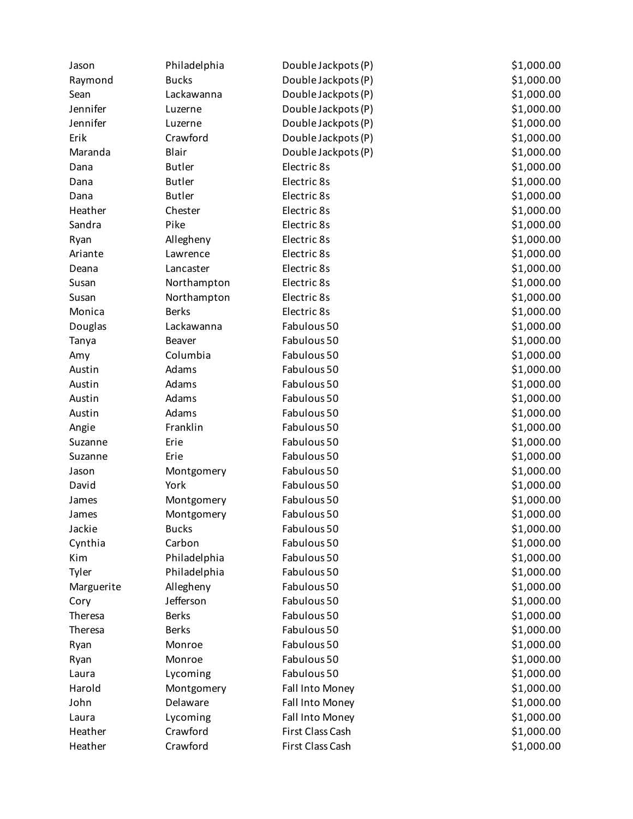| Jason      | Philadelphia  | Double Jackpots (P) | \$1,000.00 |
|------------|---------------|---------------------|------------|
| Raymond    | <b>Bucks</b>  | Double Jackpots (P) | \$1,000.00 |
| Sean       | Lackawanna    | Double Jackpots (P) | \$1,000.00 |
| Jennifer   | Luzerne       | Double Jackpots (P) | \$1,000.00 |
| Jennifer   | Luzerne       | Double Jackpots (P) | \$1,000.00 |
| Erik       | Crawford      | Double Jackpots (P) | \$1,000.00 |
| Maranda    | Blair         | Double Jackpots (P) | \$1,000.00 |
| Dana       | <b>Butler</b> | Electric 8s         | \$1,000.00 |
| Dana       | <b>Butler</b> | Electric 8s         | \$1,000.00 |
| Dana       | <b>Butler</b> | Electric 8s         | \$1,000.00 |
| Heather    | Chester       | Electric 8s         | \$1,000.00 |
| Sandra     | Pike          | Electric 8s         | \$1,000.00 |
| Ryan       | Allegheny     | Electric 8s         | \$1,000.00 |
| Ariante    | Lawrence      | Electric 8s         | \$1,000.00 |
| Deana      | Lancaster     | Electric 8s         | \$1,000.00 |
| Susan      | Northampton   | Electric 8s         | \$1,000.00 |
| Susan      | Northampton   | Electric 8s         | \$1,000.00 |
| Monica     | <b>Berks</b>  | Electric 8s         | \$1,000.00 |
| Douglas    | Lackawanna    | Fabulous 50         | \$1,000.00 |
| Tanya      | <b>Beaver</b> | Fabulous 50         | \$1,000.00 |
| Amy        | Columbia      | Fabulous 50         | \$1,000.00 |
| Austin     | Adams         | Fabulous 50         | \$1,000.00 |
| Austin     | Adams         | Fabulous 50         | \$1,000.00 |
| Austin     | Adams         | Fabulous 50         | \$1,000.00 |
| Austin     | Adams         | Fabulous 50         | \$1,000.00 |
| Angie      | Franklin      | Fabulous 50         | \$1,000.00 |
| Suzanne    | Erie          | Fabulous 50         | \$1,000.00 |
| Suzanne    | Erie          | Fabulous 50         | \$1,000.00 |
| Jason      | Montgomery    | Fabulous 50         | \$1,000.00 |
| David      | York          | Fabulous 50         | \$1,000.00 |
| James      | Montgomery    | Fabulous 50         | \$1,000.00 |
| James      | Montgomery    | Fabulous 50         | \$1,000.00 |
| Jackie     | <b>Bucks</b>  | Fabulous 50         | \$1,000.00 |
| Cynthia    | Carbon        | Fabulous 50         | \$1,000.00 |
| Kim        | Philadelphia  | Fabulous 50         | \$1,000.00 |
| Tyler      | Philadelphia  | Fabulous 50         | \$1,000.00 |
| Marguerite | Allegheny     | Fabulous 50         | \$1,000.00 |
| Cory       | Jefferson     | Fabulous 50         | \$1,000.00 |
| Theresa    | <b>Berks</b>  | Fabulous 50         | \$1,000.00 |
| Theresa    | <b>Berks</b>  | Fabulous 50         | \$1,000.00 |
| Ryan       | Monroe        | Fabulous 50         | \$1,000.00 |
| Ryan       | Monroe        | Fabulous 50         | \$1,000.00 |
| Laura      | Lycoming      | Fabulous 50         | \$1,000.00 |
| Harold     | Montgomery    | Fall Into Money     | \$1,000.00 |
| John       | Delaware      | Fall Into Money     | \$1,000.00 |
| Laura      | Lycoming      | Fall Into Money     | \$1,000.00 |
| Heather    | Crawford      | First Class Cash    | \$1,000.00 |
| Heather    | Crawford      | First Class Cash    | \$1,000.00 |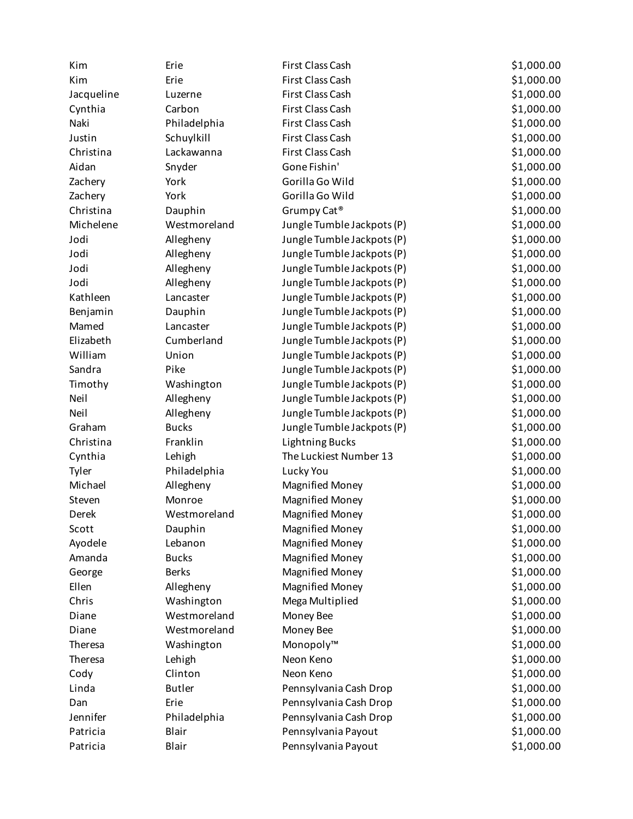| Kim        | Erie          | First Class Cash           | \$1,000.00 |
|------------|---------------|----------------------------|------------|
| Kim        | Erie          | First Class Cash           | \$1,000.00 |
| Jacqueline | Luzerne       | First Class Cash           | \$1,000.00 |
| Cynthia    | Carbon        | First Class Cash           | \$1,000.00 |
| Naki       | Philadelphia  | First Class Cash           | \$1,000.00 |
| Justin     | Schuylkill    | First Class Cash           | \$1,000.00 |
| Christina  | Lackawanna    | First Class Cash           | \$1,000.00 |
| Aidan      | Snyder        | Gone Fishin'               | \$1,000.00 |
| Zachery    | York          | Gorilla Go Wild            | \$1,000.00 |
| Zachery    | York          | Gorilla Go Wild            | \$1,000.00 |
| Christina  | Dauphin       | Grumpy Cat <sup>®</sup>    | \$1,000.00 |
| Michelene  | Westmoreland  | Jungle Tumble Jackpots (P) | \$1,000.00 |
| Jodi       | Allegheny     | Jungle Tumble Jackpots (P) | \$1,000.00 |
| Jodi       | Allegheny     | Jungle Tumble Jackpots (P) | \$1,000.00 |
| Jodi       | Allegheny     | Jungle Tumble Jackpots (P) | \$1,000.00 |
| Jodi       | Allegheny     | Jungle Tumble Jackpots (P) | \$1,000.00 |
| Kathleen   | Lancaster     | Jungle Tumble Jackpots (P) | \$1,000.00 |
| Benjamin   | Dauphin       | Jungle Tumble Jackpots (P) | \$1,000.00 |
| Mamed      | Lancaster     | Jungle Tumble Jackpots (P) | \$1,000.00 |
| Elizabeth  | Cumberland    | Jungle Tumble Jackpots (P) | \$1,000.00 |
| William    | Union         | Jungle Tumble Jackpots (P) | \$1,000.00 |
| Sandra     | Pike          | Jungle Tumble Jackpots (P) | \$1,000.00 |
| Timothy    | Washington    | Jungle Tumble Jackpots (P) | \$1,000.00 |
| Neil       | Allegheny     | Jungle Tumble Jackpots (P) | \$1,000.00 |
| Neil       | Allegheny     | Jungle Tumble Jackpots (P) | \$1,000.00 |
| Graham     | <b>Bucks</b>  | Jungle Tumble Jackpots (P) | \$1,000.00 |
| Christina  | Franklin      | <b>Lightning Bucks</b>     | \$1,000.00 |
| Cynthia    | Lehigh        | The Luckiest Number 13     | \$1,000.00 |
| Tyler      | Philadelphia  | Lucky You                  | \$1,000.00 |
| Michael    | Allegheny     | <b>Magnified Money</b>     | \$1,000.00 |
| Steven     | Monroe        | <b>Magnified Money</b>     | \$1,000.00 |
| Derek      | Westmoreland  | <b>Magnified Money</b>     | \$1,000.00 |
| Scott      | Dauphin       | <b>Magnified Money</b>     | \$1,000.00 |
| Ayodele    | Lebanon       | <b>Magnified Money</b>     | \$1,000.00 |
| Amanda     | <b>Bucks</b>  | <b>Magnified Money</b>     | \$1,000.00 |
| George     | <b>Berks</b>  | <b>Magnified Money</b>     | \$1,000.00 |
| Ellen      | Allegheny     | <b>Magnified Money</b>     | \$1,000.00 |
| Chris      | Washington    | Mega Multiplied            | \$1,000.00 |
| Diane      | Westmoreland  | Money Bee                  | \$1,000.00 |
| Diane      | Westmoreland  | Money Bee                  | \$1,000.00 |
| Theresa    | Washington    | Monopoly™                  | \$1,000.00 |
| Theresa    | Lehigh        | Neon Keno                  | \$1,000.00 |
| Cody       | Clinton       | Neon Keno                  | \$1,000.00 |
| Linda      | <b>Butler</b> | Pennsylvania Cash Drop     | \$1,000.00 |
| Dan        | Erie          | Pennsylvania Cash Drop     | \$1,000.00 |
| Jennifer   | Philadelphia  | Pennsylvania Cash Drop     | \$1,000.00 |
| Patricia   | Blair         | Pennsylvania Payout        | \$1,000.00 |
| Patricia   | Blair         | Pennsylvania Payout        | \$1,000.00 |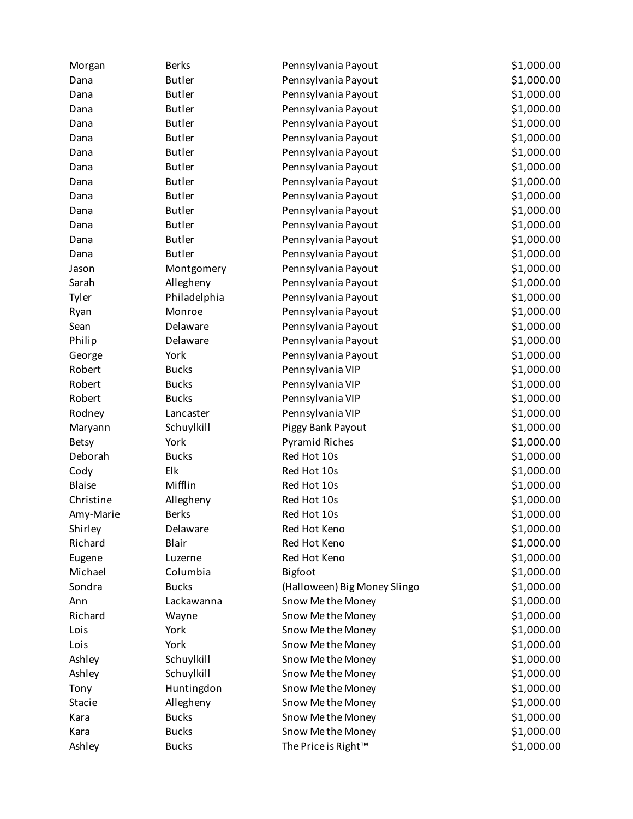| Morgan        | <b>Berks</b>  | Pennsylvania Payout          | \$1,000.00 |
|---------------|---------------|------------------------------|------------|
| Dana          | <b>Butler</b> | Pennsylvania Payout          | \$1,000.00 |
| Dana          | <b>Butler</b> | Pennsylvania Payout          | \$1,000.00 |
| Dana          | <b>Butler</b> | Pennsylvania Payout          | \$1,000.00 |
| Dana          | <b>Butler</b> | Pennsylvania Payout          | \$1,000.00 |
| Dana          | <b>Butler</b> | Pennsylvania Payout          | \$1,000.00 |
| Dana          | <b>Butler</b> | Pennsylvania Payout          | \$1,000.00 |
| Dana          | <b>Butler</b> | Pennsylvania Payout          | \$1,000.00 |
| Dana          | <b>Butler</b> | Pennsylvania Payout          | \$1,000.00 |
| Dana          | <b>Butler</b> | Pennsylvania Payout          | \$1,000.00 |
| Dana          | <b>Butler</b> | Pennsylvania Payout          | \$1,000.00 |
| Dana          | <b>Butler</b> | Pennsylvania Payout          | \$1,000.00 |
| Dana          | <b>Butler</b> | Pennsylvania Payout          | \$1,000.00 |
| Dana          | <b>Butler</b> | Pennsylvania Payout          | \$1,000.00 |
| Jason         | Montgomery    | Pennsylvania Payout          | \$1,000.00 |
| Sarah         | Allegheny     | Pennsylvania Payout          | \$1,000.00 |
| Tyler         | Philadelphia  | Pennsylvania Payout          | \$1,000.00 |
| Ryan          | Monroe        | Pennsylvania Payout          | \$1,000.00 |
| Sean          | Delaware      | Pennsylvania Payout          | \$1,000.00 |
| Philip        | Delaware      | Pennsylvania Payout          | \$1,000.00 |
| George        | York          | Pennsylvania Payout          | \$1,000.00 |
| Robert        | <b>Bucks</b>  | Pennsylvania VIP             | \$1,000.00 |
| Robert        | <b>Bucks</b>  | Pennsylvania VIP             | \$1,000.00 |
| Robert        | <b>Bucks</b>  | Pennsylvania VIP             | \$1,000.00 |
| Rodney        | Lancaster     | Pennsylvania VIP             | \$1,000.00 |
| Maryann       | Schuylkill    | Piggy Bank Payout            | \$1,000.00 |
| <b>Betsy</b>  | York          | <b>Pyramid Riches</b>        | \$1,000.00 |
| Deborah       | <b>Bucks</b>  | Red Hot 10s                  | \$1,000.00 |
| Cody          | Elk           | Red Hot 10s                  | \$1,000.00 |
| <b>Blaise</b> | Mifflin       | Red Hot 10s                  | \$1,000.00 |
| Christine     | Allegheny     | Red Hot 10s                  | \$1,000.00 |
| Amy-Marie     | <b>Berks</b>  | Red Hot 10s                  | \$1,000.00 |
| Shirley       | Delaware      | Red Hot Keno                 | \$1,000.00 |
| Richard       | Blair         | Red Hot Keno                 | \$1,000.00 |
| Eugene        | Luzerne       | Red Hot Keno                 | \$1,000.00 |
| Michael       | Columbia      | Bigfoot                      | \$1,000.00 |
| Sondra        | <b>Bucks</b>  | (Halloween) Big Money Slingo | \$1,000.00 |
| Ann           | Lackawanna    | Snow Me the Money            | \$1,000.00 |
| Richard       | Wayne         | Snow Me the Money            | \$1,000.00 |
| Lois          | York          | Snow Me the Money            | \$1,000.00 |
| Lois          | York          | Snow Me the Money            | \$1,000.00 |
| Ashley        | Schuylkill    | Snow Me the Money            | \$1,000.00 |
| Ashley        | Schuylkill    | Snow Me the Money            | \$1,000.00 |
| Tony          | Huntingdon    | Snow Me the Money            | \$1,000.00 |
| Stacie        | Allegheny     | Snow Me the Money            | \$1,000.00 |
| Kara          | <b>Bucks</b>  | Snow Me the Money            | \$1,000.00 |
| Kara          | <b>Bucks</b>  | Snow Me the Money            | \$1,000.00 |
| Ashley        | <b>Bucks</b>  | The Price is Right™          | \$1,000.00 |